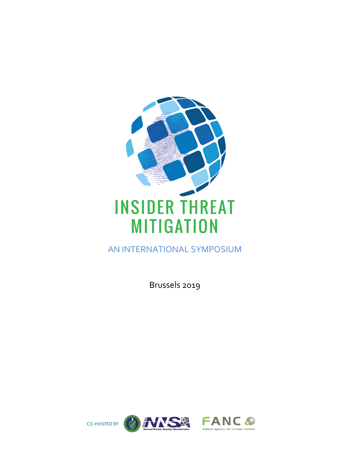

AN INTERNATIONAL SYMPOSIUM

Brussels 2019

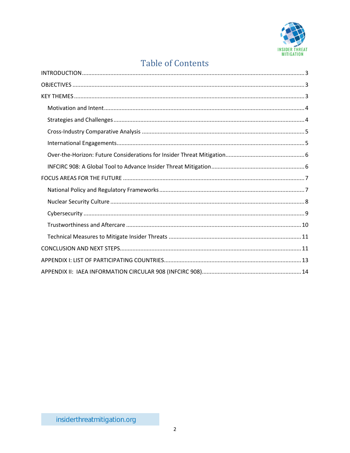

# **Table of Contents**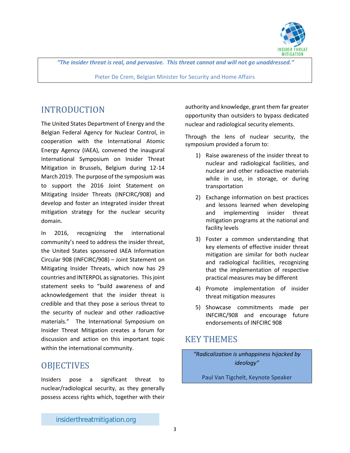

*"The insider threat is real, and pervasive. This threat cannot and will not go unaddressed."*

Pieter De Crem, Belgian Minister for Security and Home Affairs

## <span id="page-2-0"></span>INTRODUCTION

The United States Department of Energy and the Belgian Federal Agency for Nuclear Control, in cooperation with the International Atomic Energy Agency (IAEA), convened the inaugural International Symposium on Insider Threat Mitigation in Brussels, Belgium during 12-14 March 2019. The purpose of the symposium was to support the 2016 Joint Statement on Mitigating Insider Threats (INFCIRC/908) and develop and foster an integrated insider threat mitigation strategy for the nuclear security domain.

In 2016, recognizing the international community's need to address the insider threat, the United States sponsored IAEA Information Circular 908 (INFCIRC/908) – Joint Statement on Mitigating Insider Threats, which now has 29 countries and INTERPOL as signatories. This joint statement seeks to "build awareness of and acknowledgement that the insider threat is credible and that they pose a serious threat to the security of nuclear and other radioactive materials." The International Symposium on Insider Threat Mitigation creates a forum for discussion and action on this important topic within the international community.

## <span id="page-2-1"></span>**OBJECTIVES**

Insiders pose a significant threat to nuclear/radiological security, as they generally possess access rights which, together with their authority and knowledge, grant them far greater opportunity than outsiders to bypass dedicated nuclear and radiological security elements.

Through the lens of nuclear security, the symposium provided a forum to:

- 1) Raise awareness of the insider threat to nuclear and radiological facilities, and nuclear and other radioactive materials while in use, in storage, or during transportation
- 2) Exchange information on best practices and lessons learned when developing and implementing insider threat mitigation programs at the national and facility levels
- 3) Foster a common understanding that key elements of effective insider threat mitigation are similar for both nuclear and radiological facilities, recognizing that the implementation of respective practical measures may be different
- 4) Promote implementation of insider threat mitigation measures
- 5) Showcase commitments made per INFCIRC/908 and encourage future endorsements of INFCIRC 908

## <span id="page-2-2"></span>KEY THEMES

*"Radicalization is unhappiness hijacked by ideology"*

Paul Van Tigchelt, Keynote Speaker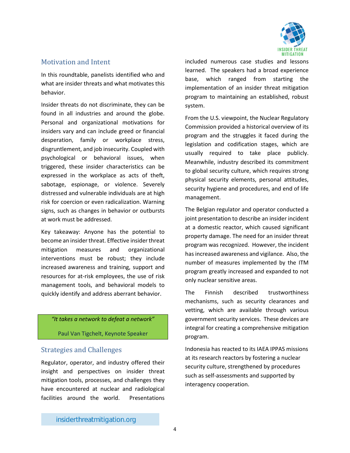

### <span id="page-3-0"></span>Motivation and Intent

In this roundtable, panelists identified who and what are insider threats and what motivates this behavior.

Insider threats do not discriminate, they can be found in all industries and around the globe. Personal and organizational motivations for insiders vary and can include greed or financial desperation, family or workplace stress, disgruntlement, and job insecurity. Coupled with psychological or behavioral issues, when triggered, these insider characteristics can be expressed in the workplace as acts of theft, sabotage, espionage, or violence. Severely distressed and vulnerable individuals are at high risk for coercion or even radicalization. Warning signs, such as changes in behavior or outbursts at work must be addressed.

Key takeaway: Anyone has the potential to become an insider threat. Effective insider threat mitigation measures and organizational interventions must be robust; they include increased awareness and training, support and resources for at-risk employees, the use of risk management tools, and behavioral models to quickly identify and address aberrant behavior.

#### *"It takes a network to defeat a network"*

Paul Van Tigchelt, Keynote Speaker

### <span id="page-3-1"></span>Strategies and Challenges

Regulator, operator, and industry offered their insight and perspectives on insider threat mitigation tools, processes, and challenges they have encountered at nuclear and radiological facilities around the world. Presentations

included numerous case studies and lessons learned. The speakers had a broad experience base, which ranged from starting the implementation of an insider threat mitigation program to maintaining an established, robust system.

From the U.S. viewpoint, the Nuclear Regulatory Commission provided a historical overview of its program and the struggles it faced during the legislation and codification stages, which are usually required to take place publicly. Meanwhile, industry described its commitment to global security culture, which requires strong physical security elements, personal attitudes, security hygiene and procedures, and end of life management.

The Belgian regulator and operator conducted a joint presentation to describe an insider incident at a domestic reactor, which caused significant property damage. The need for an insider threat program was recognized. However, the incident has increased awareness and vigilance. Also, the number of measures implemented by the ITM program greatly increased and expanded to not only nuclear sensitive areas.

The Finnish described trustworthiness mechanisms, such as security clearances and vetting, which are available through various government security services. These devices are integral for creating a comprehensive mitigation program.

Indonesia has reacted to its IAEA IPPAS missions at its research reactors by fostering a nuclear security culture, strengthened by procedures such as self-assessments and supported by interagency cooperation.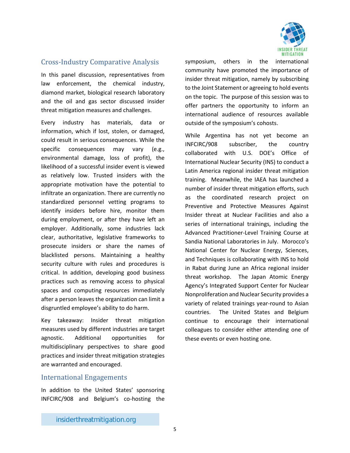

## <span id="page-4-0"></span>Cross-Industry Comparative Analysis

In this panel discussion, representatives from law enforcement, the chemical industry, diamond market, biological research laboratory and the oil and gas sector discussed insider threat mitigation measures and challenges.

Every industry has materials, data or information, which if lost, stolen, or damaged, could result in serious consequences. While the specific consequences may vary (e.g., environmental damage, loss of profit), the likelihood of a successful insider event is viewed as relatively low. Trusted insiders with the appropriate motivation have the potential to infiltrate an organization. There are currently no standardized personnel vetting programs to identify insiders before hire, monitor them during employment, or after they have left an employer. Additionally, some industries lack clear, authoritative, legislative frameworks to prosecute insiders or share the names of blacklisted persons. Maintaining a healthy security culture with rules and procedures is critical. In addition, developing good business practices such as removing access to physical spaces and computing resources immediately after a person leaves the organization can limit a disgruntled employee's ability to do harm.

Key takeaway: Insider threat mitigation measures used by different industries are target agnostic. Additional opportunities for multidisciplinary perspectives to share good practices and insider threat mitigation strategies are warranted and encouraged.

#### <span id="page-4-1"></span>International Engagements

In addition to the United States' sponsoring INFCIRC/908 and Belgium's co-hosting the symposium, others in the international community have promoted the importance of insider threat mitigation, namely by subscribing to the Joint Statement or agreeing to hold events on the topic. The purpose of this session was to offer partners the opportunity to inform an international audience of resources available outside of the symposium's cohosts.

While Argentina has not yet become an INFCIRC/908 subscriber, the country collaborated with U.S. DOE's Office of International Nuclear Security (INS) to conduct a Latin America regional insider threat mitigation training. Meanwhile, the IAEA has launched a number of insider threat mitigation efforts, such as the coordinated research project on Preventive and Protective Measures Against Insider threat at Nuclear Facilities and also a series of international trainings, including the Advanced Practitioner-Level Training Course at Sandia National Laboratories in July. Morocco's National Center for Nuclear Energy, Sciences, and Techniques is collaborating with INS to hold in Rabat during June an Africa regional insider threat workshop. The Japan Atomic Energy Agency's Integrated Support Center for Nuclear Nonproliferation and Nuclear Security provides a variety of related trainings year-round to Asian countries. The United States and Belgium continue to encourage their international colleagues to consider either attending one of these events or even hosting one.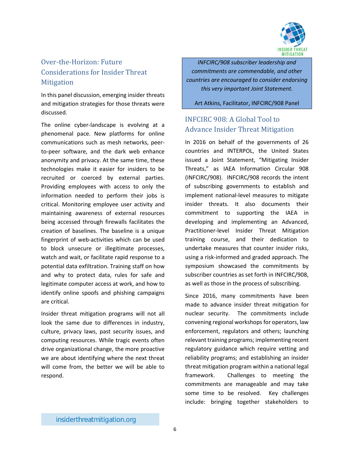

## <span id="page-5-0"></span>Over-the-Horizon: Future Considerations for Insider Threat **Mitigation**

In this panel discussion, emerging insider threats and mitigation strategies for those threats were discussed.

The online cyber-landscape is evolving at a phenomenal pace. New platforms for online communications such as mesh networks, peerto-peer software, and the dark web enhance anonymity and privacy. At the same time, these technologies make it easier for insiders to be recruited or coerced by external parties. Providing employees with access to only the information needed to perform their jobs is critical. Monitoring employee user activity and maintaining awareness of external resources being accessed through firewalls facilitates the creation of baselines. The baseline is a unique fingerprint of web-activities which can be used to block unsecure or illegitimate processes, watch and wait, or facilitate rapid response to a potential data exfiltration. Training staff on how and why to protect data, rules for safe and legitimate computer access at work, and how to identify online spoofs and phishing campaigns are critical.

Insider threat mitigation programs will not all look the same due to differences in industry, culture, privacy laws, past security issues, and computing resources. While tragic events often drive organizational change, the more proactive we are about identifying where the next threat will come from, the better we will be able to respond.

*INFCIRC/908 subscriber leadership and commitments are commendable, and other countries are encouraged to consider endorsing this very important Joint Statement.*

Art Atkins, Facilitator, INFCIRC/908 Panel

## <span id="page-5-1"></span>INFCIRC 908: A Global Tool to Advance Insider Threat Mitigation

In 2016 on behalf of the governments of 26 countries and INTERPOL, the United States issued a Joint Statement, "Mitigating Insider Threats," as IAEA Information Circular 908 (INFCIRC/908). INFCIRC/908 records the intent of subscribing governments to establish and implement national-level measures to mitigate insider threats. It also documents their commitment to supporting the IAEA in developing and implementing an Advanced, Practitioner-level Insider Threat Mitigation training course, and their dedication to undertake measures that counter insider risks, using a risk-informed and graded approach. The symposium showcased the commitments by subscriber countries as set forth in INFCIRC/908, as well as those in the process of subscribing.

Since 2016, many commitments have been made to advance insider threat mitigation for nuclear security. The commitments include convening regional workshops for operators, law enforcement, regulators and others; launching relevant training programs; implementing recent regulatory guidance which require vetting and reliability programs; and establishing an insider threat mitigation program within a national legal framework. Challenges to meeting the commitments are manageable and may take some time to be resolved. Key challenges include: bringing together stakeholders to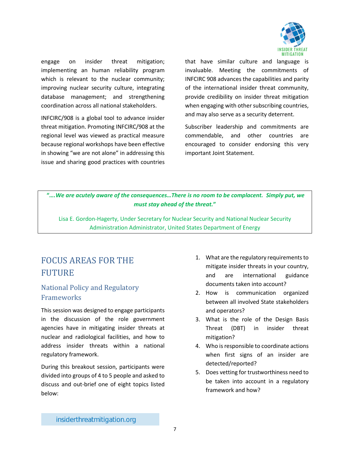

engage on insider threat mitigation; implementing an human reliability program which is relevant to the nuclear community; improving nuclear security culture, integrating database management; and strengthening coordination across all national stakeholders.

INFCIRC/908 is a global tool to advance insider threat mitigation. Promoting INFCIRC/908 at the regional level was viewed as practical measure because regional workshops have been effective in showing "we are not alone" in addressing this issue and sharing good practices with countries that have similar culture and language is invaluable. Meeting the commitments of INFCIRC 908 advances the capabilities and parity of the international insider threat community, provide credibility on insider threat mitigation when engaging with other subscribing countries, and may also serve as a security deterrent.

Subscriber leadership and commitments are commendable, and other countries are encouraged to consider endorsing this very important Joint Statement.

**"***….We are acutely aware of the consequences…There is no room to be complacent. Simply put, we must stay ahead of the threat.***"**

Lisa E. Gordon-Hagerty, Under Secretary for Nuclear Security and National Nuclear Security Administration Administrator, United States Department of Energy

# <span id="page-6-0"></span>FOCUS AREAS FOR THE FUTURE

## <span id="page-6-1"></span>National Policy and Regulatory **Frameworks**

This session was designed to engage participants in the discussion of the role government agencies have in mitigating insider threats at nuclear and radiological facilities, and how to address insider threats within a national regulatory framework.

During this breakout session, participants were divided into groups of 4 to 5 people and asked to discuss and out-brief one of eight topics listed below:

- 1. What are the regulatory requirements to mitigate insider threats in your country, and are international guidance documents taken into account?
- 2. How is communication organized between all involved State stakeholders and operators?
- 3. What is the role of the Design Basis Threat (DBT) in insider threat mitigation?
- 4. Who is responsible to coordinate actions when first signs of an insider are detected/reported?
- 5. Does vetting for trustworthiness need to be taken into account in a regulatory framework and how?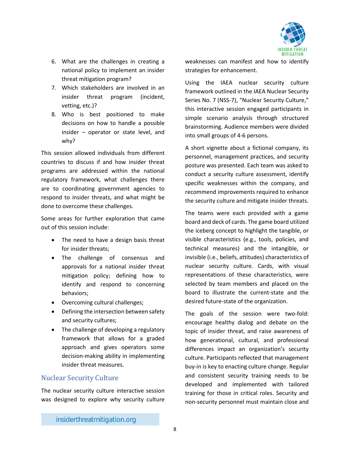

- 6. What are the challenges in creating a national policy to implement an insider threat mitigation program?
- 7. Which stakeholders are involved in an insider threat program (incident, vetting, etc.)?
- 8. Who is best positioned to make decisions on how to handle a possible insider – operator or state level, and why?

This session allowed individuals from different countries to discuss if and how insider threat programs are addressed within the national regulatory framework, what challenges there are to coordinating government agencies to respond to insider threats, and what might be done to overcome these challenges.

Some areas for further exploration that came out of this session include:

- The need to have a design basis threat for insider threats;
- The challenge of consensus and approvals for a national insider threat mitigation policy; defining how to identify and respond to concerning behaviors;
- Overcoming cultural challenges;
- Defining the intersection between safety and security cultures;
- The challenge of developing a regulatory framework that allows for a graded approach and gives operators some decision-making ability in implementing insider threat measures.

### <span id="page-7-0"></span>Nuclear Security Culture

The nuclear security culture interactive session was designed to explore why security culture

weaknesses can manifest and how to identify strategies for enhancement.

Using the IAEA nuclear security culture framework outlined in the IAEA Nuclear Security Series No. 7 (NSS-7), "Nuclear Security Culture," this interactive session engaged participants in simple scenario analysis through structured brainstorming. Audience members were divided into small groups of 4-6 persons.

A short vignette about a fictional company, its personnel, management practices, and security posture was presented. Each team was asked to conduct a security culture assessment, identify specific weaknesses within the company, and recommend improvements required to enhance the security culture and mitigate insider threats.

The teams were each provided with a game board and deck of cards. The game board utilized the iceberg concept to highlight the tangible, or visible characteristics (e.g., tools, policies, and technical measures) and the intangible, or invisible (i.e., beliefs, attitudes) characteristics of nuclear security culture. Cards, with visual representations of these characteristics, were selected by team members and placed on the board to illustrate the current-state and the desired future-state of the organization.

The goals of the session were two-fold: encourage healthy dialog and debate on the topic of insider threat, and raise awareness of how generational, cultural, and professional differences impact an organization's security culture. Participants reflected that management buy-in is key to enacting culture change. Regular and consistent security training needs to be developed and implemented with tailored training for those in critical roles. Security and non-security personnel must maintain close and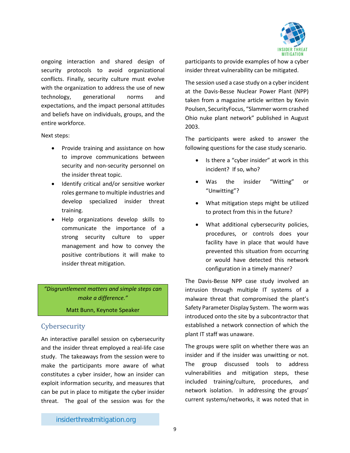

ongoing interaction and shared design of security protocols to avoid organizational conflicts. Finally, security culture must evolve with the organization to address the use of new technology, generational norms and expectations, and the impact personal attitudes and beliefs have on individuals, groups, and the entire workforce.

Next steps:

- Provide training and assistance on how to improve communications between security and non-security personnel on the insider threat topic.
- Identify critical and/or sensitive worker roles germane to multiple industries and develop specialized insider threat training.
- Help organizations develop skills to communicate the importance of a strong security culture to upper management and how to convey the positive contributions it will make to insider threat mitigation.

*"Disgruntlement matters and simple steps can make a difference."*

Matt Bunn, Keynote Speaker

### <span id="page-8-0"></span>**Cybersecurity**

An interactive parallel session on cybersecurity and the insider threat employed a real-life case study. The takeaways from the session were to make the participants more aware of what constitutes a cyber insider, how an insider can exploit information security, and measures that can be put in place to mitigate the cyber insider threat. The goal of the session was for the participants to provide examples of how a cyber insider threat vulnerability can be mitigated.

The session used a case study on a cyber incident at the Davis-Besse Nuclear Power Plant (NPP) taken from a magazine article written by Kevin Poulsen, SecurityFocus, "Slammer worm crashed Ohio nuke plant network" published in August 2003.

The participants were asked to answer the following questions for the case study scenario.

- Is there a "cyber insider" at work in this incident? If so, who?
- Was the insider "Witting" or "Unwitting"?
- What mitigation steps might be utilized to protect from this in the future?
- What additional cybersecurity policies, procedures, or controls does your facility have in place that would have prevented this situation from occurring or would have detected this network configuration in a timely manner?

The Davis-Besse NPP case study involved an intrusion through multiple IT systems of a malware threat that compromised the plant's Safety Parameter Display System. The worm was introduced onto the site by a subcontractor that established a network connection of which the plant IT staff was unaware.

The groups were split on whether there was an insider and if the insider was unwitting or not. The group discussed tools to address vulnerabilities and mitigation steps, these included training/culture, procedures, and network isolation. In addressing the groups' current systems/networks, it was noted that in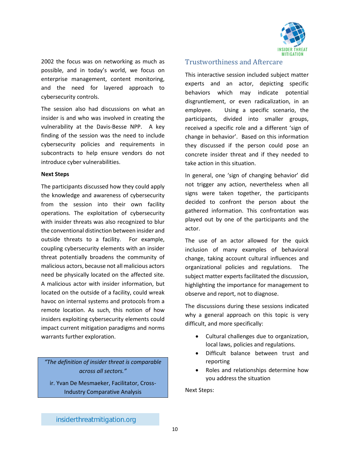

2002 the focus was on networking as much as possible, and in today's world, we focus on enterprise management, content monitoring, and the need for layered approach to cybersecurity controls.

The session also had discussions on what an insider is and who was involved in creating the vulnerability at the Davis-Besse NPP. A key finding of the session was the need to include cybersecurity policies and requirements in subcontracts to help ensure vendors do not introduce cyber vulnerabilities.

#### **Next Steps**

The participants discussed how they could apply the knowledge and awareness of cybersecurity from the session into their own facility operations. The exploitation of cybersecurity with insider threats was also recognized to blur the conventional distinction between insider and outside threats to a facility. For example, coupling cybersecurity elements with an insider threat potentially broadens the community of malicious actors, because not all malicious actors need be physically located on the affected site. A malicious actor with insider information, but located on the outside of a facility, could wreak havoc on internal systems and protocols from a remote location. As such, this notion of how insiders exploiting cybersecurity elements could impact current mitigation paradigms and norms warrants further exploration.

*"The definition of insider threat is comparable across all sectors."* ir. Yvan De Mesmaeker, Facilitator, Cross-Industry Comparative Analysis

#### <span id="page-9-0"></span>Trustworthiness and Aftercare

This interactive session included subject matter experts and an actor, depicting specific behaviors which may indicate potential disgruntlement, or even radicalization, in an employee. Using a specific scenario, the participants, divided into smaller groups, received a specific role and a different 'sign of change in behavior'. Based on this information they discussed if the person could pose an concrete insider threat and if they needed to take action in this situation.

In general, one 'sign of changing behavior' did not trigger any action, nevertheless when all signs were taken together, the participants decided to confront the person about the gathered information. This confrontation was played out by one of the participants and the actor.

The use of an actor allowed for the quick inclusion of many examples of behavioral change, taking account cultural influences and organizational policies and regulations. The subject matter experts facilitated the discussion, highlighting the importance for management to observe and report, not to diagnose.

The discussions during these sessions indicated why a general approach on this topic is very difficult, and more specifically:

- Cultural challenges due to organization, local laws, policies and regulations.
- Difficult balance between trust and reporting
- Roles and relationships determine how you address the situation

Next Steps: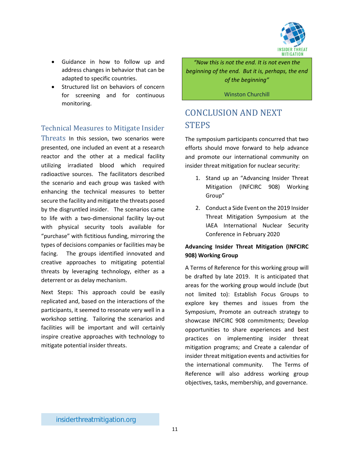

- Guidance in how to follow up and address changes in behavior that can be adapted to specific countries.
- Structured list on behaviors of concern for screening and for continuous monitoring.

## <span id="page-10-0"></span>Technical Measures to Mitigate Insider

Threats In this session, two scenarios were presented, one included an event at a research reactor and the other at a medical facility utilizing irradiated blood which required radioactive sources. The facilitators described the scenario and each group was tasked with enhancing the technical measures to better secure the facility and mitigate the threats posed by the disgruntled insider. The scenarios came to life with a two-dimensional facility lay-out with physical security tools available for "purchase" with fictitious funding, mirroring the types of decisions companies or facilities may be facing. The groups identified innovated and creative approaches to mitigating potential threats by leveraging technology, either as a deterrent or as delay mechanism.

Next Steps: This approach could be easily replicated and, based on the interactions of the participants, it seemed to resonate very well in a workshop setting. Tailoring the scenarios and facilities will be important and will certainly inspire creative approaches with technology to mitigate potential insider threats.

*"Now this is not the end. It is not even the beginning of the end. But it is, perhaps, the end of the beginning"*

Winston Churchill

# <span id="page-10-1"></span>CONCLUSION AND NEXT STEPS

The symposium participants concurred that two efforts should move forward to help advance and promote our international community on insider threat mitigation for nuclear security:

- 1. Stand up an "Advancing Insider Threat Mitigation (INFCIRC 908) Working Group"
- 2. Conduct a Side Event on the 2019 Insider Threat Mitigation Symposium at the IAEA International Nuclear Security Conference in February 2020

#### **Advancing Insider Threat Mitigation (INFCIRC 908) Working Group**

A Terms of Reference for this working group will be drafted by late 2019. It is anticipated that areas for the working group would include (but not limited to): Establish Focus Groups to explore key themes and issues from the Symposium, Promote an outreach strategy to showcase INFCIRC 908 commitments; Develop opportunities to share experiences and best practices on implementing insider threat mitigation programs; and Create a calendar of insider threat mitigation events and activities for the international community. The Terms of Reference will also address working group objectives, tasks, membership, and governance.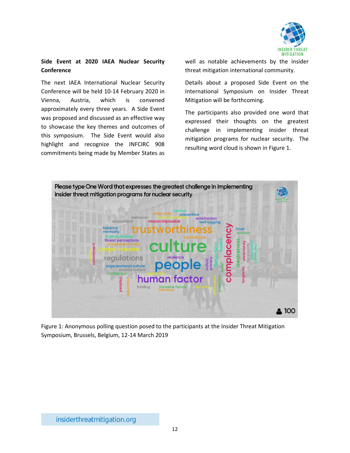

#### **Side Event at 2020 IAEA Nuclear Security Conference**

The next IAEA International Nuclear Security Conference will be held 10-14 February 2020 in Vienna, Austria, which is convened approximately every three years. A Side Event was proposed and discussed as an effective way to showcase the key themes and outcomes of this symposium. The Side Event would also highlight and recognize the INFCIRC 908 commitments being made by Member States as

well as notable achievements by the insider threat mitigation international community.

Details about a proposed Side Event on the International Symposium on Insider Threat Mitigation will be forthcoming.

The participants also provided one word that expressed their thoughts on the greatest challenge in implementing insider threat mitigation programs for nuclear security. The resulting word cloud is shown in Figure 1.



Figure 1: Anonymous polling question posed to the participants at the Insider Threat Mitigation Symposium, Brussels, Belgium, 12-14 March 2019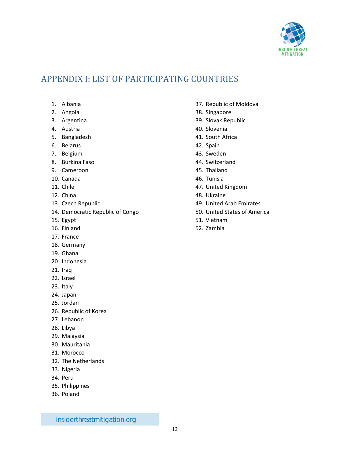

# <span id="page-12-0"></span>APPENDIX I: LIST OF PARTICIPATING COUNTRIES

- 1. Albania
- 2. Angola
- 3. Argentina
- 4. Austria
- 5. Bangladesh
- 6. Belarus
- 7. Belgium
- 8. Burkina Faso
- 9. Cameroon
- 10. Canada
- 11. Chile
- 12. China
- 13. Czech Republic
- 14. Democratic Republic of Congo
- 15. Egypt
- 16. Finland
- 17. France
- 18. Germany
- 19. Ghana
- 20. Indonesia
- 21. Iraq
- 22. Israel
- 23. Italy
- 24. Japan
- 25. Jordan
- 26. Republic of Korea
- 27. Lebanon
- 28. Libya
- 29. Malaysia
- 30. Mauritania
- 31. Morocco
- 32. The Netherlands
- 33. Nigeria
- 34. Peru
- 35. Philippines
- 36. Poland
- 37. Republic of Moldova
- 38. Singapore
- 39. Slovak Republic
- 40. Slovenia
- 41. South Africa
- 42. Spain
- 43. Sweden
- 44. Switzerland
- 45. Thailand
- 46. Tunisia
- 47. United Kingdom
- 48. Ukraine
- 49. United Arab Emirates
- 50. United States of America
- 51. Vietnam
- 52. Zambia

insiderthreatmitigation.org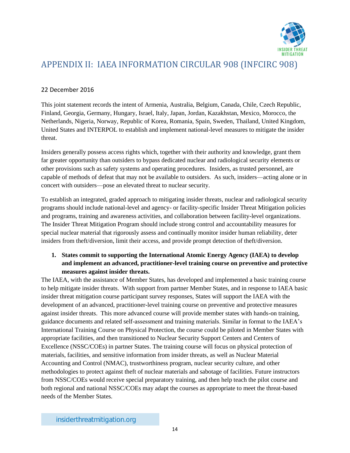

# <span id="page-13-0"></span>APPENDIX II: IAEA INFORMATION CIRCULAR 908 (INFCIRC 908)

#### 22 December 2016

This joint statement records the intent of Armenia, Australia, Belgium, Canada, Chile, Czech Republic, Finland, Georgia, Germany, Hungary, Israel, Italy, Japan, Jordan, Kazakhstan, Mexico, Morocco, the Netherlands, Nigeria, Norway, Republic of Korea, Romania, Spain, Sweden, Thailand, United Kingdom, United States and INTERPOL to establish and implement national-level measures to mitigate the insider threat.

Insiders generally possess access rights which, together with their authority and knowledge, grant them far greater opportunity than outsiders to bypass dedicated nuclear and radiological security elements or other provisions such as safety systems and operating procedures. Insiders, as trusted personnel, are capable of methods of defeat that may not be available to outsiders. As such, insiders—acting alone or in concert with outsiders—pose an elevated threat to nuclear security.

To establish an integrated, graded approach to mitigating insider threats, nuclear and radiological security programs should include national-level and agency- or facility-specific Insider Threat Mitigation policies and programs, training and awareness activities, and collaboration between facility-level organizations. The Insider Threat Mitigation Program should include strong control and accountability measures for special nuclear material that rigorously assess and continually monitor insider human reliability, deter insiders from theft/diversion, limit their access, and provide prompt detection of theft/diversion.

#### **1. States commit to supporting the International Atomic Energy Agency (IAEA) to develop and implement an advanced, practitioner-level training course on preventive and protective measures against insider threats.**

The IAEA, with the assistance of Member States, has developed and implemented a basic training course to help mitigate insider threats. With support from partner Member States, and in response to IAEA basic insider threat mitigation course participant survey responses, States will support the IAEA with the development of an advanced, practitioner-level training course on preventive and protective measures against insider threats. This more advanced course will provide member states with hands-on training, guidance documents and related self-assessment and training materials. Similar in format to the IAEA's International Training Course on Physical Protection, the course could be piloted in Member States with appropriate facilities, and then transitioned to Nuclear Security Support Centers and Centers of Excellence (NSSC/COEs) in partner States. The training course will focus on physical protection of materials, facilities, and sensitive information from insider threats, as well as Nuclear Material Accounting and Control (NMAC), trustworthiness program, nuclear security culture, and other methodologies to protect against theft of nuclear materials and sabotage of facilities. Future instructors from NSSC/COEs would receive special preparatory training, and then help teach the pilot course and both regional and national NSSC/COEs may adapt the courses as appropriate to meet the threat-based needs of the Member States.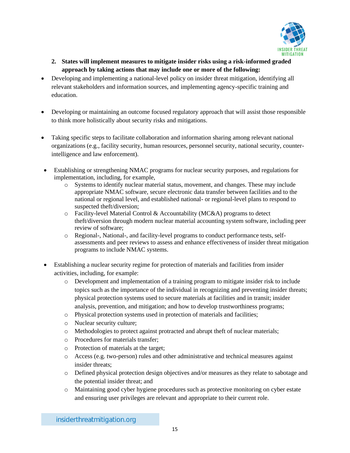

- **2. States will implement measures to mitigate insider risks using a risk-informed graded approach by taking actions that may include one or more of the following:**
- Developing and implementing a national-level policy on insider threat mitigation, identifying all relevant stakeholders and information sources, and implementing agency-specific training and education.
- Developing or maintaining an outcome focused regulatory approach that will assist those responsible to think more holistically about security risks and mitigations.
- Taking specific steps to facilitate collaboration and information sharing among relevant national organizations (e.g., facility security, human resources, personnel security, national security, counterintelligence and law enforcement).
- Establishing or strengthening NMAC programs for nuclear security purposes, and regulations for implementation, including, for example,
	- o Systems to identify nuclear material status, movement, and changes. These may include appropriate NMAC software, secure electronic data transfer between facilities and to the national or regional level, and established national- or regional-level plans to respond to suspected theft/diversion;
	- o Facility-level Material Control & Accountability (MC&A) programs to detect theft/diversion through modern nuclear material accounting system software, including peer review of software;
	- o Regional-, National-, and facility-level programs to conduct performance tests, selfassessments and peer reviews to assess and enhance effectiveness of insider threat mitigation programs to include NMAC systems.
- Establishing a nuclear security regime for protection of materials and facilities from insider activities, including, for example:
	- o Development and implementation of a training program to mitigate insider risk to include topics such as the importance of the individual in recognizing and preventing insider threats; physical protection systems used to secure materials at facilities and in transit; insider analysis, prevention, and mitigation; and how to develop trustworthiness programs;
	- o Physical protection systems used in protection of materials and facilities;
	- o Nuclear security culture;
	- o Methodologies to protect against protracted and abrupt theft of nuclear materials;
	- o Procedures for materials transfer;
	- o Protection of materials at the target;
	- o Access (e.g. two-person) rules and other administrative and technical measures against insider threats;
	- o Defined physical protection design objectives and/or measures as they relate to sabotage and the potential insider threat; and
	- o Maintaining good cyber hygiene procedures such as protective monitoring on cyber estate and ensuring user privileges are relevant and appropriate to their current role.

insiderthreatmitigation.org